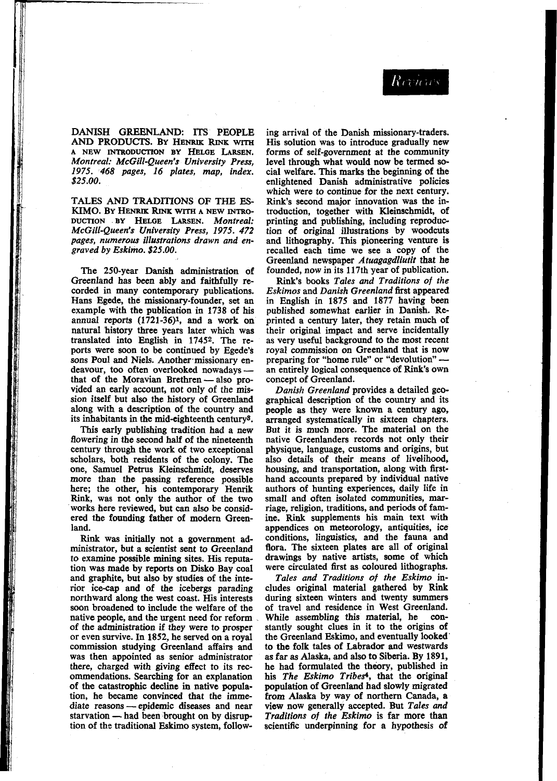DANISH GREENLAND: ITS PEOPLE AND PRODUCTS. BY HENRIK **RINK WITH**  *Montreal: McGill-Queen's University Press, 1975. 468 pages, 16 plates, map, index. \$25.00.*  **<sup>A</sup>**NEW INTRODUCTION **BY** HELGE LARSEN.

TALES AND TRADITIONS OF THE **ES-**KIMO. BY HENRIK RINK WITH A NEW INTRO-DUCTION **-BY HELQE** LARSEN. *Montreal: McGill-Queen's University Press, 1975. 472 pages, numerous illustrations drawn and en- graved by Eskimo. \$25.00.* 

The 250-year Danish administration of Greenland has been ably and faithfully recorded in many contemporary publications.<br>Hans Egede, the missionary-founder, set an example with the publication in 1738 of his<br>annual reports (1721-36)<sup>1</sup>, and a work on natural history three years later which was translated into English in **17452.** The reports were soon to be continued by Egede's sons Poul and Niels. Another missionary endeavour, too often overlooked nowadays - an entirely logical consequence of Rink's own that of the Moravian Brethren - also pro- concept of Greenland. vided an early account, not only of the mission itself but also the history of Greenland along with a description of the country and its inhabitants in the mid-eighteenth century<sup>3</sup>.

**This** early publishing tradition had a new flowering in the second half of the nineteenth century through the work of two exceptional scholars, both residents of the colony. The one, Samuel **Petrus** Kleinschmidt, deserves more than the passing reference possible here; the other, his contemporary Henrik Rink, was not only the author of the two works here reviewed, but can also be considered the founding father of modern Greenland.

Rink was initially not **a** government administrator, but a scientist sent to Greenland to examine possible mining sites. His reputation was made by reports on Disko Bay coal and graphite, but also by studies of the interior icecap and of the icebergs parading northward along the west coast. His interests soon broadened to include the welfare of the native people, and the urgent need for reform of the administration if they were to prosper or even survive. In **1852,** he served on a royal commission studying Greenland affairs and was then appointed as senior administrator there, charged with giving effect to its rec- ommendations. Searching for an explanation of the catastrophic decline in native population, he became convinced that the imme-<br>diate reasons — epidemic diseases and near<br>starvation — had been brought on by disrup-<br>tion of the traditional Eskimo system follow diate reasons - epidemic diseases and near<br>starvation - had been brought on by disruption of the traditional Eskimo system, follow-

ing arrival of the Danish missionary-traders. forms of self-government at the community level **through** what would now be termed **so**cial welfare. This marks the beginning of the enlightened Danish administrative policies which were to continue for the next century. **Rink's** second major innovation was the introduction, together with Kleinschmidt, of printing and publishing, including reproduction *of* original illustrations by woodcuts and lithography. **This** pioneering venture is recalled each time we see a copy of the Greenland newspaper *Atuagagdliutit* that he founded, now in its **117th** year of publication.

Rink's books *Tales and Traditions of the*  **Eskimos and Danish Greenland first appeared** in English in **1875** and **1877** having been published somewhat earlier in Danish. Reprinted a century later, they retain much **of**  their original impact and serve incidentally as very useful background to the most recent royal commission on Greenland that is now preparing for "home rule" or "devolution" -concept of Greenland.

*Danish Greenland* provides a detailed geographical description of the country and its people as they were known a century ago, arranged systematically in sixteen chapters. But it is much more. The material on the native Greenlanders records not only their physique, language, customs and origins, but also details of their means of livelihood, housing, and transportation, along with firsthand accounts prepared by individual native authors of hunting experiences, daily life in riage, religion, traditions, and periods of famine. Rink supplements his main text with appendices on meteorology, antiquities, ice conditions, linguistics, and the fauna and flora. The sixteen plates are all of original drawings by native artists, some of which were circulated first as coloured lithographs.

*Tales and Traditions of the Eskimo* includes original material gathered by Rink during sixteen winters and twenty summers<br>of travel and residence in West Greenland.<br>While assembling this material, he con-While assembling this material, he con-<br>stantly sought clues in it to the origins of the Greenland Eskimo, and eventually looked' to the folk tales of Labrador and westwards as far **as** *Alaska,* and also **to** Siberia. By **1891,**  he had formulated the theory, published in his *The Eskimo Tribes<sup>4</sup>*, that the original population of Greenland had slowly migrated from Alaska by way of northern Canada, a view now generally accepted. But *Tales and Traditions of the Eskimo* is far more than scientific underpinning for **a** hypothesis **of**